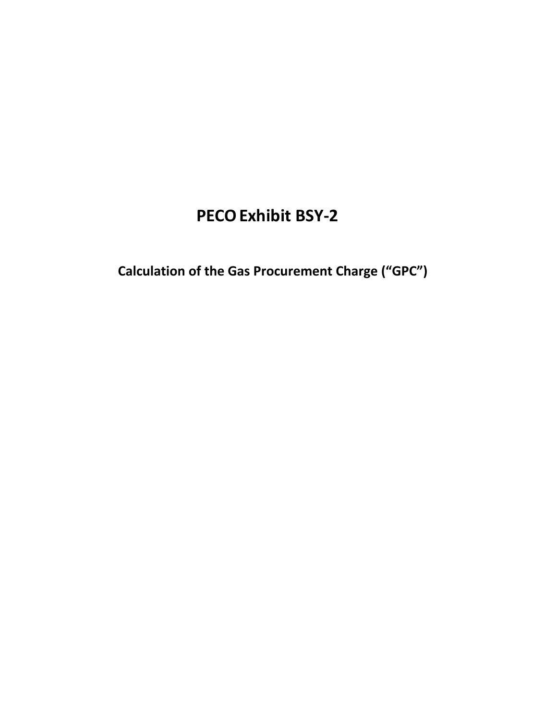# **PECOExhibit BSY‐2**

 **Calculation of the Gas Procurement Charge ("GPC")**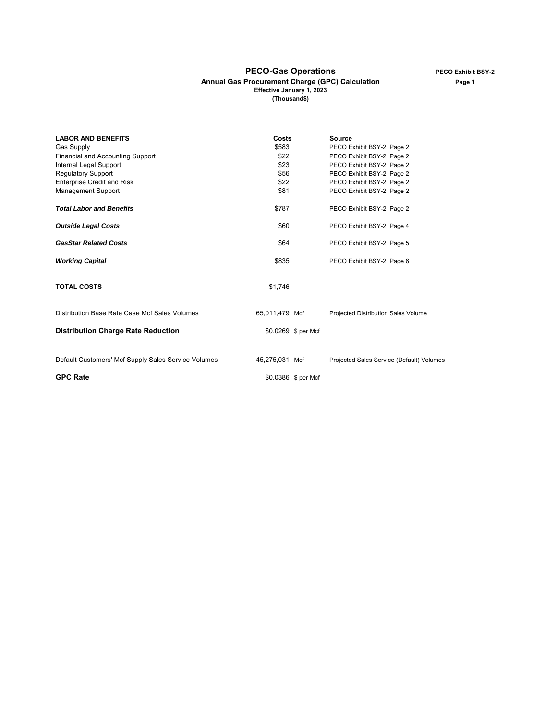#### **Annual Gas Procurement Charge (GPC) Calculation Page 1 Effective January 1, 2023 (Thousand\$)**

| <b>LABOR AND BENEFITS</b>                           | Costs          |                     | <b>Source</b>                             |
|-----------------------------------------------------|----------------|---------------------|-------------------------------------------|
| <b>Gas Supply</b>                                   | \$583          |                     | PECO Exhibit BSY-2, Page 2                |
| <b>Financial and Accounting Support</b>             | \$22           |                     | PECO Exhibit BSY-2, Page 2                |
| Internal Legal Support                              | \$23           |                     | PECO Exhibit BSY-2, Page 2                |
| <b>Regulatory Support</b>                           | \$56           |                     | PECO Exhibit BSY-2, Page 2                |
| <b>Enterprise Credit and Risk</b>                   | \$22           |                     | PECO Exhibit BSY-2, Page 2                |
| <b>Management Support</b>                           | \$81           |                     | PECO Exhibit BSY-2, Page 2                |
| <b>Total Labor and Benefits</b>                     | \$787          |                     | PECO Exhibit BSY-2, Page 2                |
| <b>Outside Legal Costs</b>                          | \$60           |                     | PECO Exhibit BSY-2, Page 4                |
| <b>GasStar Related Costs</b>                        | \$64           |                     | PECO Exhibit BSY-2, Page 5                |
| <b>Working Capital</b>                              | \$835          |                     | PECO Exhibit BSY-2, Page 6                |
| <b>TOTAL COSTS</b>                                  | \$1,746        |                     |                                           |
| Distribution Base Rate Case Mcf Sales Volumes       | 65,011,479 Mcf |                     | Projected Distribution Sales Volume       |
| <b>Distribution Charge Rate Reduction</b>           |                | \$0.0269 \$ per Mcf |                                           |
| Default Customers' Mcf Supply Sales Service Volumes | 45,275,031 Mcf |                     | Projected Sales Service (Default) Volumes |
|                                                     |                |                     |                                           |
| <b>GPC Rate</b>                                     |                | \$0.0386 \$ per Mcf |                                           |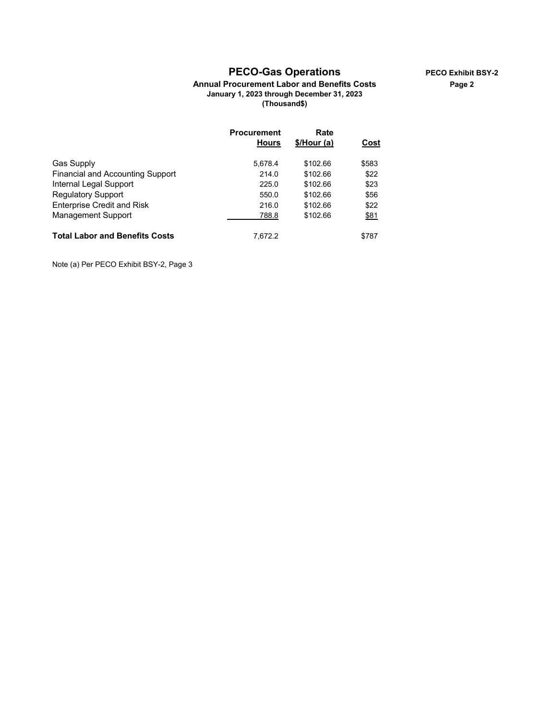## **PECO-Gas Operations PECO Exhibit BSY-2**

#### **Annual Procurement Labor and Benefits Costs Page 2 January 1, 2023 through December 31, 2023 (Thousand\$)**

|                                         | <b>Procurement</b> | Rate        |       |
|-----------------------------------------|--------------------|-------------|-------|
|                                         | <b>Hours</b>       | \$/Hour (a) | Cost  |
| <b>Gas Supply</b>                       | 5,678.4            | \$102.66    | \$583 |
| <b>Financial and Accounting Support</b> | 214.0              | \$102.66    | \$22  |
| Internal Legal Support                  | 225.0              | \$102.66    | \$23  |
| <b>Regulatory Support</b>               | 550.0              | \$102.66    | \$56  |
| <b>Enterprise Credit and Risk</b>       | 216.0              | \$102.66    | \$22  |
| Management Support                      | 788.8              | \$102.66    | \$81  |
| <b>Total Labor and Benefits Costs</b>   | 7.672.2            |             | \$787 |

Note (a) Per PECO Exhibit BSY-2, Page 3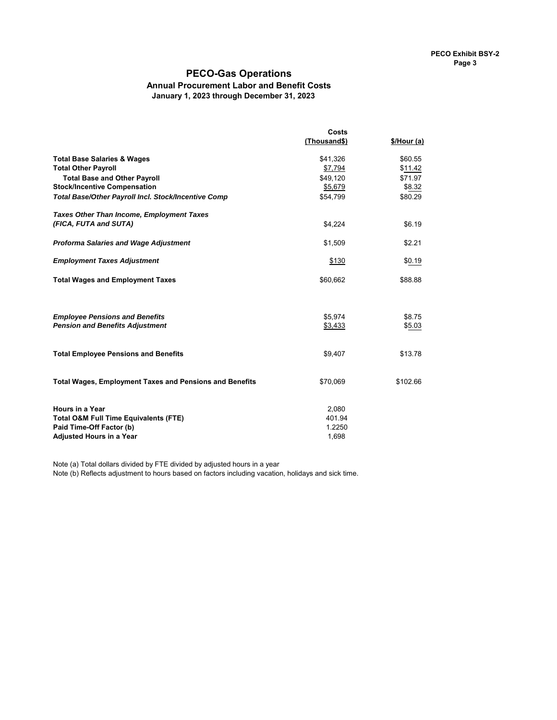### **PECO-Gas Operations**

# **Annual Procurement Labor and Benefit Costs**

January 1, 2023 through December 31, 2023

|                                                                                 | Costs        |             |
|---------------------------------------------------------------------------------|--------------|-------------|
|                                                                                 | (Thousand\$) | \$/Hour (a) |
| <b>Total Base Salaries &amp; Wages</b>                                          | \$41,326     | \$60.55     |
| <b>Total Other Payroll</b>                                                      | \$7,794      | \$11.42     |
| <b>Total Base and Other Payroll</b>                                             | \$49,120     | \$71.97     |
| <b>Stock/Incentive Compensation</b>                                             | \$5,679      | \$8.32      |
| Total Base/Other Payroll Incl. Stock/Incentive Comp                             | \$54,799     | \$80.29     |
| <b>Taxes Other Than Income, Employment Taxes</b>                                |              |             |
| (FICA, FUTA and SUTA)                                                           | \$4,224      | \$6.19      |
|                                                                                 |              |             |
| <b>Proforma Salaries and Wage Adjustment</b>                                    | \$1,509      | \$2.21      |
|                                                                                 |              |             |
| <b>Employment Taxes Adjustment</b>                                              | \$130        | \$0.19      |
| <b>Total Wages and Employment Taxes</b>                                         | \$60,662     | \$88.88     |
|                                                                                 |              |             |
|                                                                                 |              |             |
|                                                                                 | \$5,974      | \$8.75      |
| <b>Employee Pensions and Benefits</b><br><b>Pension and Benefits Adjustment</b> | \$3,433      | \$5.03      |
|                                                                                 |              |             |
|                                                                                 |              |             |
| <b>Total Employee Pensions and Benefits</b>                                     | \$9,407      | \$13.78     |
|                                                                                 |              |             |
| <b>Total Wages, Employment Taxes and Pensions and Benefits</b>                  | \$70,069     | \$102.66    |
|                                                                                 |              |             |
| <b>Hours in a Year</b>                                                          | 2,080        |             |
| <b>Total O&amp;M Full Time Equivalents (FTE)</b>                                | 401.94       |             |
| Paid Time-Off Factor (b)                                                        | 1.2250       |             |
| <b>Adjusted Hours in a Year</b>                                                 | 1,698        |             |

Note (a) Total dollars divided by FTE divided by adjusted hours in a year

Note (b) Reflects adjustment to hours based on factors including vacation, holidays and sick time.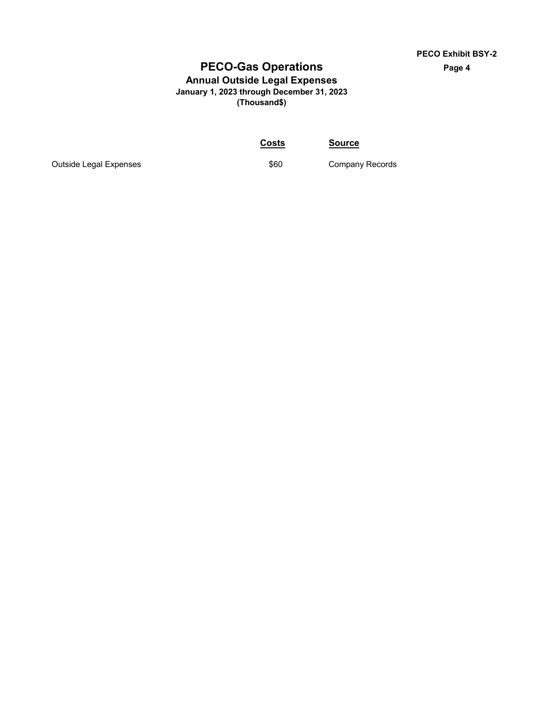# **PECO-Gas Operations Page 4**

#### **Annual Outside Legal Expenses January 1, 2023 through December 31, 2023 (Thousand\$)**

**Costs Source**

Outside Legal Expenses **by Company Records** \$60 Company Records

**PECO Exhibit BSY-2**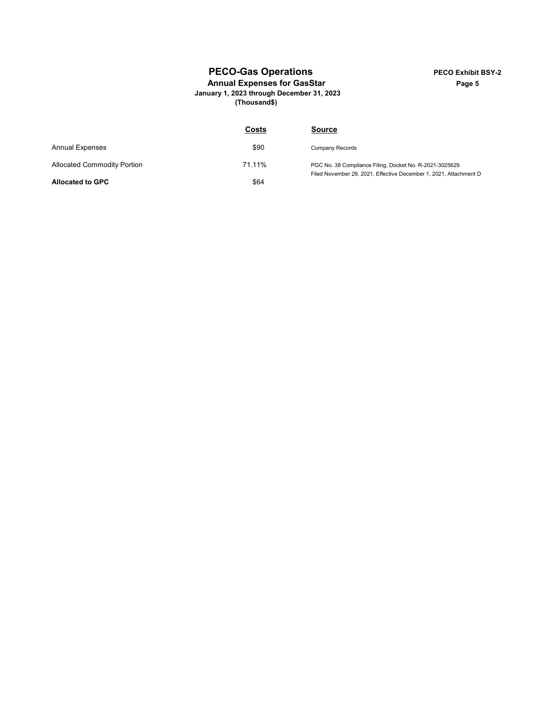# **PECO-Gas Operations PECO Exhibit BSY-2**

#### Annual Expenses for GasStar **Page 5** Page 5 **January 1, 2023 through December 31, 2023**

**(Thousand\$)**

|                                    | Costs  | <b>Source</b>                                                                                                                |
|------------------------------------|--------|------------------------------------------------------------------------------------------------------------------------------|
| <b>Annual Expenses</b>             | \$90   | Company Records                                                                                                              |
| <b>Allocated Commodity Portion</b> | 71.11% | PGC No. 38 Compliance Filing, Docket No. R-2021-3025629<br>Filed November 29, 2021, Effective December 1, 2021, Attachment D |
| <b>Allocated to GPC</b>            | \$64   |                                                                                                                              |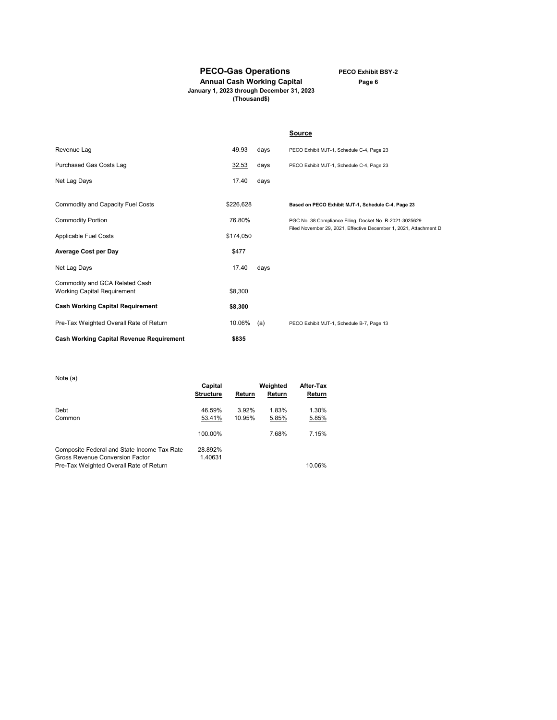**PECO-Gas Operations PECO Exhibit BSY-2**

**Annual Cash Working Capital Page 6 (Thousand\$)**

**January 1, 2023 through December 31, 2023**

|                                                                      |           |      | <b>Source</b>                                                     |
|----------------------------------------------------------------------|-----------|------|-------------------------------------------------------------------|
| Revenue Lag                                                          | 49.93     | days | PECO Exhibit MJT-1, Schedule C-4, Page 23                         |
| Purchased Gas Costs Lag                                              | 32.53     | days | PECO Exhibit MJT-1, Schedule C-4, Page 23                         |
| Net Lag Days                                                         | 17.40     | days |                                                                   |
| Commodity and Capacity Fuel Costs                                    | \$226,628 |      | Based on PECO Exhibit MJT-1, Schedule C-4, Page 23                |
| <b>Commodity Portion</b>                                             | 76.80%    |      | PGC No. 38 Compliance Filing, Docket No. R-2021-3025629           |
| Applicable Fuel Costs                                                | \$174,050 |      | Filed November 29, 2021, Effective December 1, 2021, Attachment D |
| <b>Average Cost per Day</b>                                          | \$477     |      |                                                                   |
| Net Lag Days                                                         | 17.40     | days |                                                                   |
| Commodity and GCA Related Cash<br><b>Working Capital Requirement</b> | \$8,300   |      |                                                                   |
| <b>Cash Working Capital Requirement</b>                              | \$8,300   |      |                                                                   |
| Pre-Tax Weighted Overall Rate of Return                              | 10.06%    | (a)  | PECO Exhibit MJT-1, Schedule B-7, Page 13                         |
| <b>Cash Working Capital Revenue Requirement</b>                      | \$835     |      |                                                                   |

| Note (a)                                    | Capital<br><b>Structure</b> | Return | Weighted<br>Return | After-Tax<br>Return |
|---------------------------------------------|-----------------------------|--------|--------------------|---------------------|
| Debt                                        | 46.59%                      | 3.92%  | 1.83%              | 1.30%               |
| Common                                      | 53.41%                      | 10.95% | 5.85%              | 5.85%               |
|                                             | 100.00%                     |        | 7.68%              | 7.15%               |
| Composite Federal and State Income Tax Rate | 28.892%                     |        |                    |                     |
| Gross Revenue Conversion Factor             | 1.40631                     |        |                    |                     |
| Pre-Tax Weighted Overall Rate of Return     |                             |        |                    | 10.06%              |